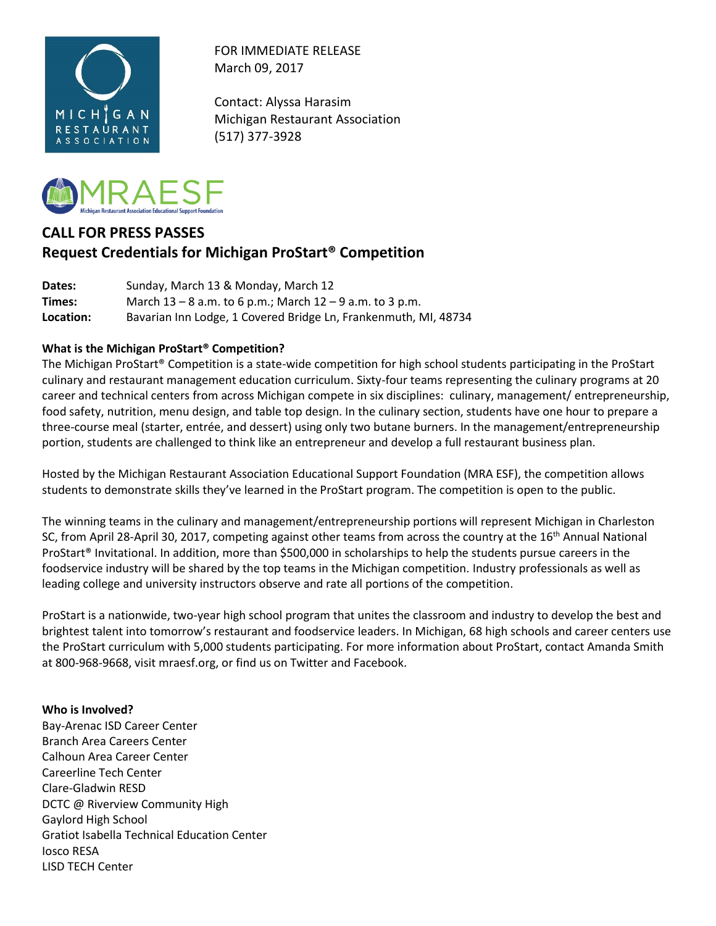

FOR IMMEDIATE RELEASE March 09, 2017

Contact: Alyssa Harasim Michigan Restaurant Association (517) 377-3928



# **CALL FOR PRESS PASSES Request Credentials for Michigan ProStart® Competition**

**Dates:** Sunday, March 13 & Monday, March 12 **Times:** March 13 – 8 a.m. to 6 p.m.; March 12 – 9 a.m. to 3 p.m. **Location:** Bavarian Inn Lodge, 1 Covered Bridge Ln, Frankenmuth, MI, 48734

# **What is the Michigan ProStart® Competition?**

The Michigan ProStart® Competition is a state-wide competition for high school students participating in the ProStart culinary and restaurant management education curriculum. Sixty-four teams representing the culinary programs at 20 career and technical centers from across Michigan compete in six disciplines: culinary, management/ entrepreneurship, food safety, nutrition, menu design, and table top design. In the culinary section, students have one hour to prepare a three-course meal (starter, entrée, and dessert) using only two butane burners. In the management/entrepreneurship portion, students are challenged to think like an entrepreneur and develop a full restaurant business plan.

Hosted by the Michigan Restaurant Association Educational Support Foundation (MRA ESF), the competition allows students to demonstrate skills they've learned in the ProStart program. The competition is open to the public.

The winning teams in the culinary and management/entrepreneurship portions will represent Michigan in Charleston SC, from April 28-April 30, 2017, competing against other teams from across the country at the 16<sup>th</sup> Annual National ProStart® Invitational. In addition, more than \$500,000 in scholarships to help the students pursue careers in the foodservice industry will be shared by the top teams in the Michigan competition. Industry professionals as well as leading college and university instructors observe and rate all portions of the competition.

ProStart is a nationwide, two-year high school program that unites the classroom and industry to develop the best and brightest talent into tomorrow's restaurant and foodservice leaders. In Michigan, 68 high schools and career centers use the ProStart curriculum with 5,000 students participating. For more information about ProStart, contact Amanda Smith at 800-968-9668, visit mraesf.org, or find us on Twitter and Facebook.

## **Who is Involved?**

Bay-Arenac ISD Career Center Branch Area Careers Center Calhoun Area Career Center Careerline Tech Center Clare-Gladwin RESD DCTC @ Riverview Community High Gaylord High School Gratiot Isabella Technical Education Center Iosco RESA LISD TECH Center